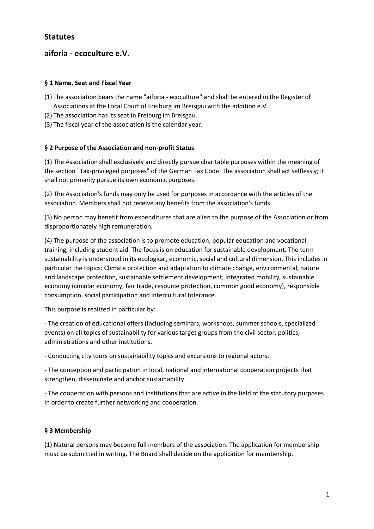# **aiforia - ecoculture e.V.**

### **§ 1 Name, Seat and Fiscal Year**

- (1) The association bears the name "aiforia ecoculture" and shall be entered in the Register of Associations at the Local Court of Freiburg im Breisgau with the addition e.V.
- (2) The association has its seat in Freiburg im Breisgau.
- (3) The fiscal year of the association is the calendar year.

## **§ 2 Purpose of the Association and non-profit Status**

(1) The Association shall exclusively and directly pursue charitable purposes within the meaning of the section "Tax-privileged purposes" of the German Tax Code. The association shall act selflessly; it shall not primarily pursue its own economic purposes.

(2) The Association's funds may only be used for purposes in accordance with the articles of the association. Members shall not receive any benefits from the association's funds.

(3) No person may benefit from expenditures that are alien to the purpose of the Association or from disproportionately high remuneration.

(4) The purpose of the association is to promote education, popular education and vocational training, including student aid. The focus is on education for sustainable development. The term sustainability is understood in its ecological, economic, social and cultural dimension. This includes in particular the topics: Climate protection and adaptation to climate change, environmental, nature and landscape protection, sustainable settlement development, integrated mobility, sustainable economy (circular economy, fair trade, resource protection, common good economy), responsible consumption, social participation and intercultural tolerance.

This purpose is realized in particular by:

- The creation of educational offers (including seminars, workshops, summer schools, specialized events) on all topics of sustainability for various target groups from the civil sector, politics, administrations and other institutions.

- Conducting city tours on sustainability topics and excursions to regional actors.

- The conception and participation in local, national and international cooperation projects that strengthen, disseminate and anchor sustainability.

- The cooperation with persons and institutions that are active in the field of the statutory purposes in order to create further networking and cooperation.

#### **§ 3 Membership**

(1) Natural persons may become full members of the association. The application for membership must be submitted in writing. The Board shall decide on the application for membership.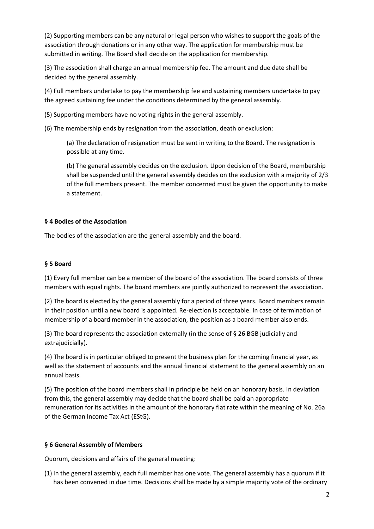(2) Supporting members can be any natural or legal person who wishes to support the goals of the association through donations or in any other way. The application for membership must be submitted in writing. The Board shall decide on the application for membership.

(3) The association shall charge an annual membership fee. The amount and due date shall be decided by the general assembly.

(4) Full members undertake to pay the membership fee and sustaining members undertake to pay the agreed sustaining fee under the conditions determined by the general assembly.

(5) Supporting members have no voting rights in the general assembly.

(6) The membership ends by resignation from the association, death or exclusion:

(a) The declaration of resignation must be sent in writing to the Board. The resignation is possible at any time.

(b) The general assembly decides on the exclusion. Upon decision of the Board, membership shall be suspended until the general assembly decides on the exclusion with a majority of 2/3 of the full members present. The member concerned must be given the opportunity to make a statement.

#### **§ 4 Bodies of the Association**

The bodies of the association are the general assembly and the board.

#### **§ 5 Board**

(1) Every full member can be a member of the board of the association. The board consists of three members with equal rights. The board members are jointly authorized to represent the association.

(2) The board is elected by the general assembly for a period of three years. Board members remain in their position until a new board is appointed. Re-election is acceptable. In case of termination of membership of a board member in the association, the position as a board member also ends.

(3) The board represents the association externally (in the sense of § 26 BGB judicially and extrajudicially).

(4) The board is in particular obliged to present the business plan for the coming financial year, as well as the statement of accounts and the annual financial statement to the general assembly on an annual basis.

(5) The position of the board members shall in principle be held on an honorary basis. In deviation from this, the general assembly may decide that the board shall be paid an appropriate remuneration for its activities in the amount of the honorary flat rate within the meaning of No. 26a of the German Income Tax Act (EStG).

#### **§ 6 General Assembly of Members**

Quorum, decisions and affairs of the general meeting:

(1) In the general assembly, each full member has one vote. The general assembly has a quorum if it has been convened in due time. Decisions shall be made by a simple majority vote of the ordinary